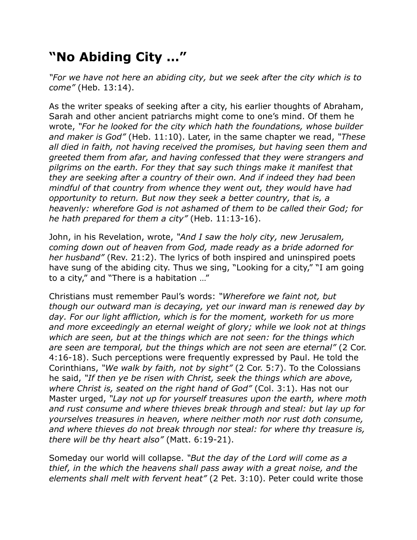## **"No Abiding City …"**

*"For we have not here an abiding city, but we seek after the city which is to come"* (Heb. 13:14).

As the writer speaks of seeking after a city, his earlier thoughts of Abraham, Sarah and other ancient patriarchs might come to one's mind. Of them he wrote, *"For he looked for the city which hath the foundations, whose builder and maker is God"* (Heb. 11:10). Later, in the same chapter we read, *"These all died in faith, not having received the promises, but having seen them and greeted them from afar, and having confessed that they were strangers and pilgrims on the earth. For they that say such things make it manifest that they are seeking after a country of their own. And if indeed they had been mindful of that country from whence they went out, they would have had opportunity to return. But now they seek a better country, that is, a heavenly: wherefore God is not ashamed of them to be called their God; for he hath prepared for them a city"* (Heb. 11:13-16).

John, in his Revelation, wrote, *"And I saw the holy city, new Jerusalem, coming down out of heaven from God, made ready as a bride adorned for her husband"* (Rev. 21:2). The lyrics of both inspired and uninspired poets have sung of the abiding city. Thus we sing, "Looking for a city," "I am going to a city," and "There is a habitation …"

Christians must remember Paul's words: *"Wherefore we faint not, but though our outward man is decaying, yet our inward man is renewed day by*  day. For our light affliction, which is for the moment, worketh for us more *and more exceedingly an eternal weight of glory; while we look not at things which are seen, but at the things which are not seen: for the things which are seen are temporal, but the things which are not seen are eternal"* (2 Cor. 4:16-18). Such perceptions were frequently expressed by Paul. He told the Corinthians, *"We walk by faith, not by sight"* (2 Cor. 5:7). To the Colossians he said, *"If then ye be risen with Christ, seek the things which are above, where Christ is, seated on the right hand of God"* (Col. 3:1). Has not our Master urged, *"Lay not up for yourself treasures upon the earth, where moth and rust consume and where thieves break through and steal: but lay up for yourselves treasures in heaven, where neither moth nor rust doth consume, and where thieves do not break through nor steal: for where thy treasure is, there will be thy heart also"* (Matt. 6:19-21).

Someday our world will collapse. *"But the day of the Lord will come as a thief, in the which the heavens shall pass away with a great noise, and the elements shall melt with fervent heat"* (2 Pet. 3:10). Peter could write those